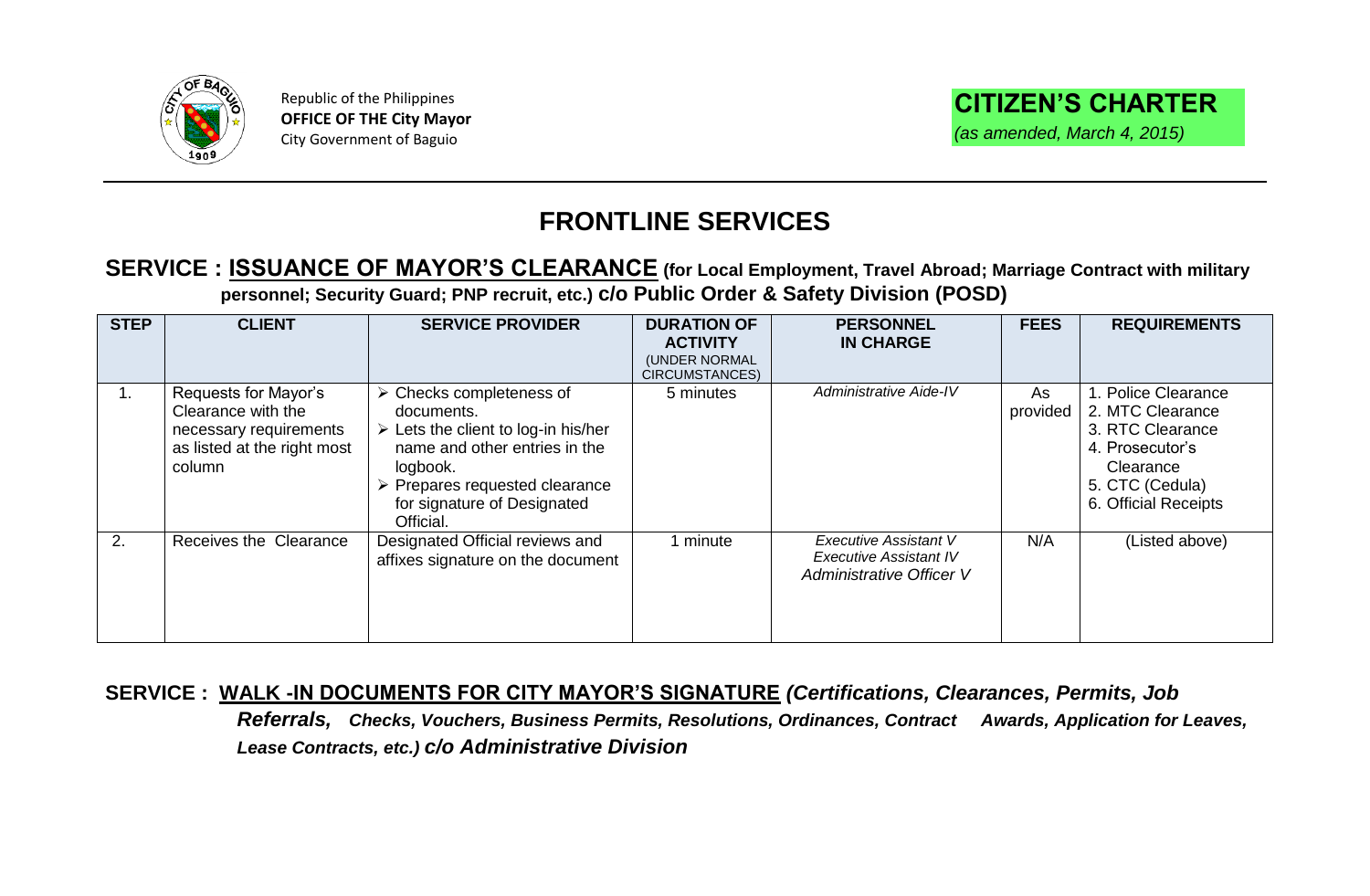

Republic of the Philippines **OFFICE OF THE City Mayor** City Government of Baguio

## **FRONTLINE SERVICES**

#### **SERVICE : ISSUANCE OF MAYOR'S CLEARANCE (for Local Employment, Travel Abroad; Marriage Contract with military personnel; Security Guard; PNP recruit, etc.) c/o Public Order & Safety Division (POSD)**

| <b>STEP</b> | <b>CLIENT</b>                                                                                                 | <b>SERVICE PROVIDER</b>                                                                                                                                                                                                                               | <b>DURATION OF</b><br><b>ACTIVITY</b><br>(UNDER NORMAL<br>CIRCUMSTANCES) | <b>PERSONNEL</b><br><b>IN CHARGE</b>                                                      | <b>FEES</b>    | <b>REQUIREMENTS</b>                                                                                                                    |
|-------------|---------------------------------------------------------------------------------------------------------------|-------------------------------------------------------------------------------------------------------------------------------------------------------------------------------------------------------------------------------------------------------|--------------------------------------------------------------------------|-------------------------------------------------------------------------------------------|----------------|----------------------------------------------------------------------------------------------------------------------------------------|
|             | Requests for Mayor's<br>Clearance with the<br>necessary requirements<br>as listed at the right most<br>column | $\triangleright$ Checks completeness of<br>documents.<br>$\triangleright$ Lets the client to log-in his/her<br>name and other entries in the<br>logbook.<br>$\triangleright$ Prepares requested clearance<br>for signature of Designated<br>Official. | 5 minutes                                                                | <b>Administrative Aide-IV</b>                                                             | As<br>provided | 1. Police Clearance<br>2. MTC Clearance<br>3. RTC Clearance<br>4. Prosecutor's<br>Clearance<br>5. CTC (Cedula)<br>6. Official Receipts |
| 2.          | Receives the Clearance                                                                                        | Designated Official reviews and<br>affixes signature on the document                                                                                                                                                                                  | 1 minute                                                                 | <b>Executive Assistant V</b><br><b>Executive Assistant IV</b><br>Administrative Officer V | N/A            | (Listed above)                                                                                                                         |

**SERVICE : WALK -IN DOCUMENTS FOR CITY MAYOR'S SIGNATURE** *(Certifications, Clearances, Permits, Job Referrals, Checks, Vouchers, Business Permits, Resolutions, Ordinances, Contract Awards, Application for Leaves, Lease Contracts, etc.) c/o Administrative Division*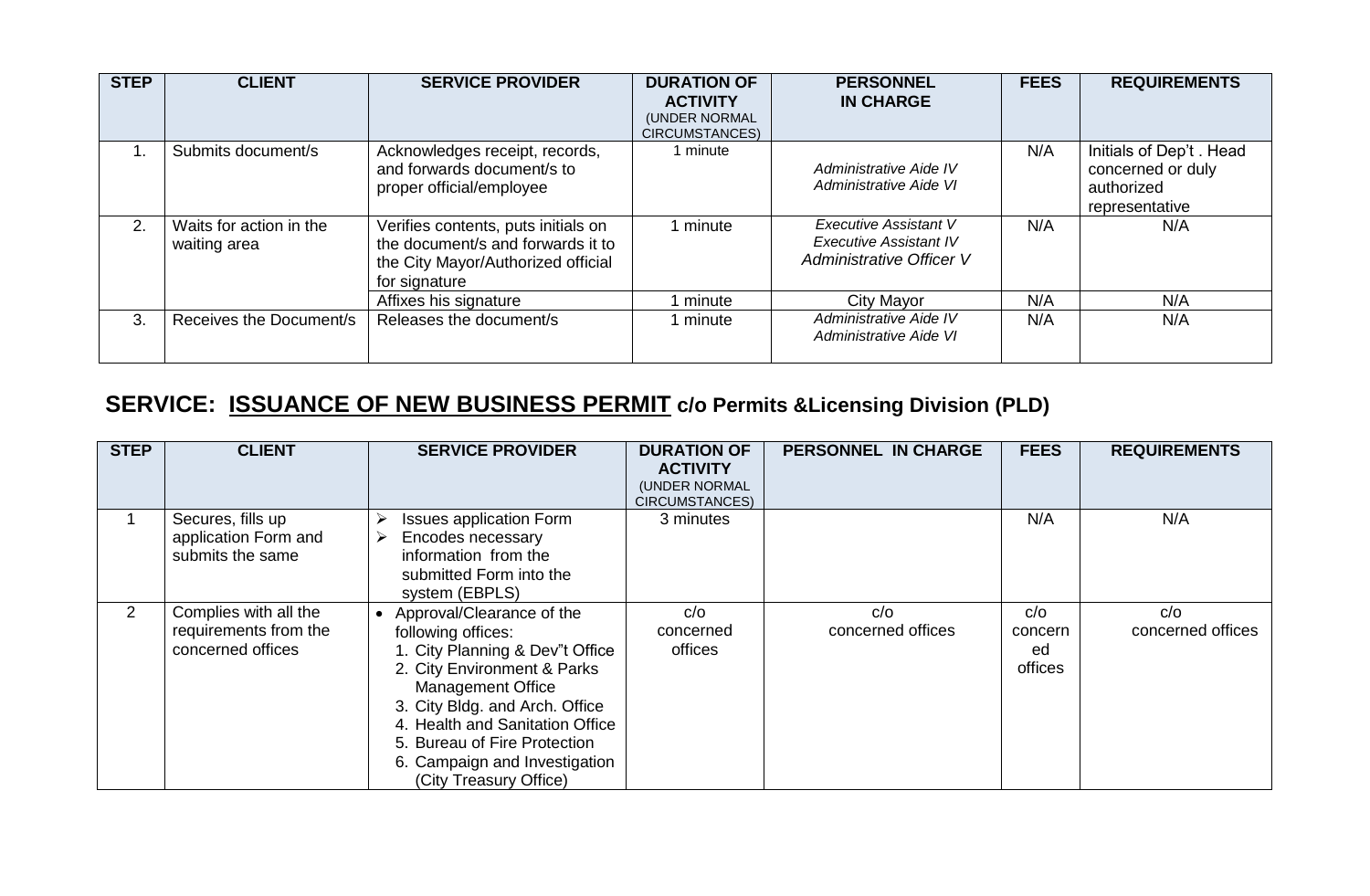| <b>STEP</b> | <b>CLIENT</b>                           | <b>SERVICE PROVIDER</b>                                                                                                         | <b>DURATION OF</b><br><b>ACTIVITY</b><br>(UNDER NORMAL<br><b>CIRCUMSTANCES)</b> | <b>PERSONNEL</b><br><b>IN CHARGE</b>                                                      | <b>FEES</b> | <b>REQUIREMENTS</b>                                                           |
|-------------|-----------------------------------------|---------------------------------------------------------------------------------------------------------------------------------|---------------------------------------------------------------------------------|-------------------------------------------------------------------------------------------|-------------|-------------------------------------------------------------------------------|
|             | Submits document/s                      | Acknowledges receipt, records,<br>and forwards document/s to<br>proper official/employee                                        | 1 minute                                                                        | Administrative Aide IV<br>Administrative Aide VI                                          | N/A         | Initials of Dep't . Head<br>concerned or duly<br>authorized<br>representative |
| 2.          | Waits for action in the<br>waiting area | Verifies contents, puts initials on<br>the document/s and forwards it to<br>the City Mayor/Authorized official<br>for signature | 1 minute                                                                        | <b>Executive Assistant V</b><br><b>Executive Assistant IV</b><br>Administrative Officer V | N/A         | N/A                                                                           |
|             |                                         | Affixes his signature                                                                                                           | I minute                                                                        | City Mayor                                                                                | N/A         | N/A                                                                           |
| 3.          | Receives the Document/s                 | Releases the document/s                                                                                                         | 1 minute                                                                        | Administrative Aide IV<br>Administrative Aide VI                                          | N/A         | N/A                                                                           |

# **SERVICE: ISSUANCE OF NEW BUSINESS PERMIT c/o Permits &Licensing Division (PLD)**

| <b>STEP</b>    | <b>CLIENT</b>                                                       | <b>SERVICE PROVIDER</b>                                                                                                                                                                                                                                                                                       | <b>DURATION OF</b><br><b>ACTIVITY</b><br>(UNDER NORMAL<br>CIRCUMSTANCES) | <b>PERSONNEL IN CHARGE</b> | <b>FEES</b>                     | <b>REQUIREMENTS</b>      |
|----------------|---------------------------------------------------------------------|---------------------------------------------------------------------------------------------------------------------------------------------------------------------------------------------------------------------------------------------------------------------------------------------------------------|--------------------------------------------------------------------------|----------------------------|---------------------------------|--------------------------|
|                | Secures, fills up<br>application Form and<br>submits the same       | <b>Issues application Form</b><br>Encodes necessary<br>information from the<br>submitted Form into the<br>system (EBPLS)                                                                                                                                                                                      | 3 minutes                                                                |                            | N/A                             | N/A                      |
| $\overline{2}$ | Complies with all the<br>requirements from the<br>concerned offices | Approval/Clearance of the<br>following offices:<br>1. City Planning & Dev"t Office<br>2. City Environment & Parks<br><b>Management Office</b><br>3. City Bldg. and Arch. Office<br>4. Health and Sanitation Office<br>5. Bureau of Fire Protection<br>6. Campaign and Investigation<br>(City Treasury Office) | C/O<br>concerned<br>offices                                              | C/O<br>concerned offices   | C/O<br>concern<br>ed<br>offices | C/O<br>concerned offices |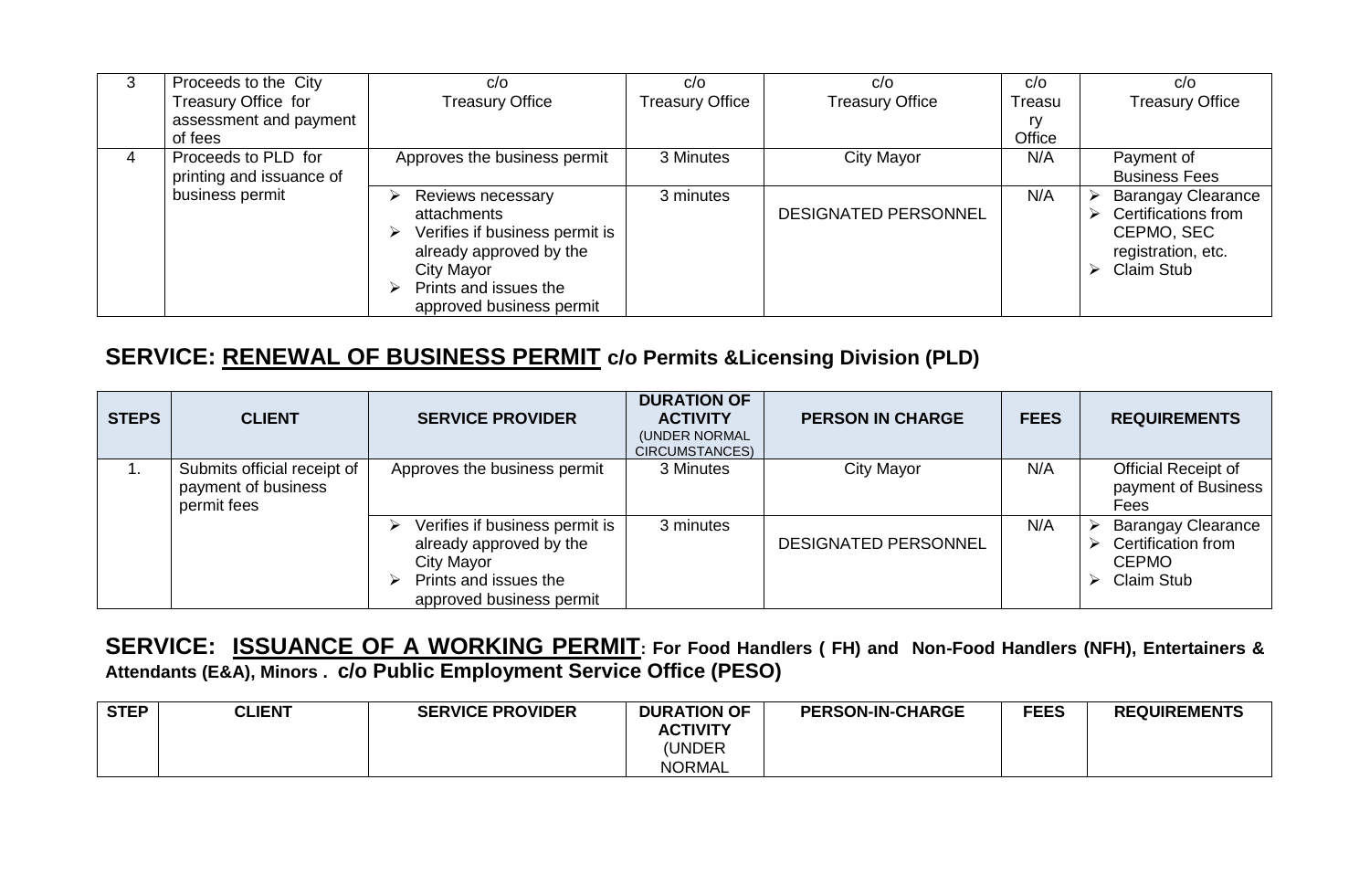| 3 | Proceeds to the City     | C/O                            | C/O                    | C/O                         | C/O    | C/O                       |
|---|--------------------------|--------------------------------|------------------------|-----------------------------|--------|---------------------------|
|   | Treasury Office for      | <b>Treasury Office</b>         | <b>Treasury Office</b> | <b>Treasury Office</b>      | Treasu | <b>Treasury Office</b>    |
|   | assessment and payment   |                                |                        |                             | ry     |                           |
|   | of fees                  |                                |                        |                             | Office |                           |
| 4 | Proceeds to PLD for      | Approves the business permit   | 3 Minutes              | City Mayor                  | N/A    | Payment of                |
|   | printing and issuance of |                                |                        |                             |        | <b>Business Fees</b>      |
|   | business permit          | Reviews necessary<br>⊵         | 3 minutes              |                             | N/A    | <b>Barangay Clearance</b> |
|   |                          | attachments                    |                        | <b>DESIGNATED PERSONNEL</b> |        | Certifications from       |
|   |                          | Verifies if business permit is |                        |                             |        | CEPMO, SEC                |
|   |                          | already approved by the        |                        |                             |        | registration, etc.        |
|   |                          | City Mayor                     |                        |                             |        | Claim Stub<br>↘           |
|   |                          | Prints and issues the          |                        |                             |        |                           |
|   |                          | approved business permit       |                        |                             |        |                           |

### **SERVICE: RENEWAL OF BUSINESS PERMIT c/o Permits &Licensing Division (PLD)**

| <b>STEPS</b> | <b>CLIENT</b>                                                     | <b>SERVICE PROVIDER</b>                                                                                                                | <b>DURATION OF</b><br><b>ACTIVITY</b><br>(UNDER NORMAL<br>CIRCUMSTANCES) | <b>PERSON IN CHARGE</b>     | <b>FEES</b> | <b>REQUIREMENTS</b>                                                                       |
|--------------|-------------------------------------------------------------------|----------------------------------------------------------------------------------------------------------------------------------------|--------------------------------------------------------------------------|-----------------------------|-------------|-------------------------------------------------------------------------------------------|
| ι.           | Submits official receipt of<br>payment of business<br>permit fees | Approves the business permit                                                                                                           | 3 Minutes                                                                | City Mayor                  | N/A         | Official Receipt of<br>payment of Business<br>Fees                                        |
|              |                                                                   | Verifies if business permit is<br>⋗<br>already approved by the<br>City Mayor<br>Prints and issues the<br>↘<br>approved business permit | 3 minutes                                                                | <b>DESIGNATED PERSONNEL</b> | N/A         | <b>Barangay Clearance</b><br>Certification from<br><b>CEPMO</b><br><b>Claim Stub</b><br>⋗ |

#### **SERVICE: ISSUANCE OF A WORKING PERMIT: For Food Handlers ( FH) and Non-Food Handlers (NFH), Entertainers & Attendants (E&A), Minors . c/o Public Employment Service Office (PESO)**

| <b>STEP</b> | <b>CLIENT</b> | <b>SERVICE PROVIDER</b> | <b>DURATION OF</b> | <b>PERSON-IN-CHARGE</b> | <b>FEES</b> | <b>REQUIREMENTS</b> |
|-------------|---------------|-------------------------|--------------------|-------------------------|-------------|---------------------|
|             |               |                         | <b>ACTIVITY</b>    |                         |             |                     |
|             |               |                         | (UNDER             |                         |             |                     |
|             |               |                         | <b>NORMAL</b>      |                         |             |                     |